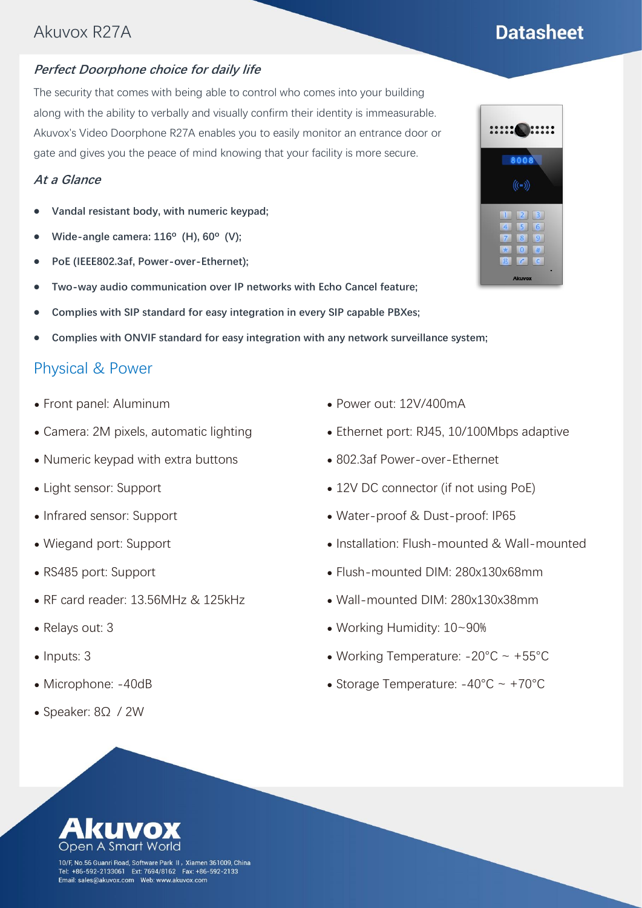## Akuvox R27A

#### **Perfect Doorphone choice for daily life**

The security that comes with being able to control who comes into your building along with the ability to verbally and visually confirm their identity is immeasurable. Akuvox's Video Doorphone R27A enables you to easily monitor an entrance door or gate and gives you the peace of mind knowing that your facility is more secure.

#### **At a Glance**

- ⚫ **Vandal resistant body, with numeric keypad;**
- ⚫ **Wide-angle camera: 116º (H), 60º (V);**
- ⚫ **PoE (IEEE802.3af, Power-over-Ethernet);**
- ⚫ **Two-way audio communication over IP networks with Echo Cancel feature;**
- ⚫ **Complies with SIP standard for easy integration in every SIP capable PBXes;**
- ⚫ **Complies with ONVIF standard for easy integration with any network surveillance system;**

### Physical & Power

- ⚫ Front panel: Aluminum
- Camera: 2M pixels, automatic lighting
- ⚫ Numeric keypad with extra buttons
- ⚫ Light sensor: Support
- ⚫ Infrared sensor: Support
- ⚫ Wiegand port: Support
- ⚫ RS485 port: Support
- ⚫ RF card reader: 13.56MHz & 125kHz
- ⚫ Relays out: 3
- Inputs: 3
- ⚫ Microphone: -40dB
- ⚫ Speaker: 8Ω / 2W
- ⚫ Power out: 12V/400mA
- Ethernet port: RJ45, 10/100Mbps adaptive
- ⚫ 802.3af Power-over-Ethernet
- 12V DC connector (if not using PoE)
- ⚫ Water-proof & Dust-proof: IP65
- ⚫ Installation: Flush-mounted & Wall-mounted
- ⚫ Flush-mounted DIM: 280x130x68mm
- ⚫ Wall-mounted DIM: 280x130x38mm
- ⚫ Working Humidity: 10~90%
- Working Temperature:  $-20^{\circ}$ C ~  $+55^{\circ}$ C
- Storage Temperature:  $-40^{\circ}$ C ~  $+70^{\circ}$ C



10/F, No.56 Guanri Road, Software Park II, Xiamen 361009, China Tel: +86-592-2133061 Ext: 7694/8162 Fax: +86-592-2133 

**:::::(** )::::: 8008  $((-))$ 

# **Datasheet**